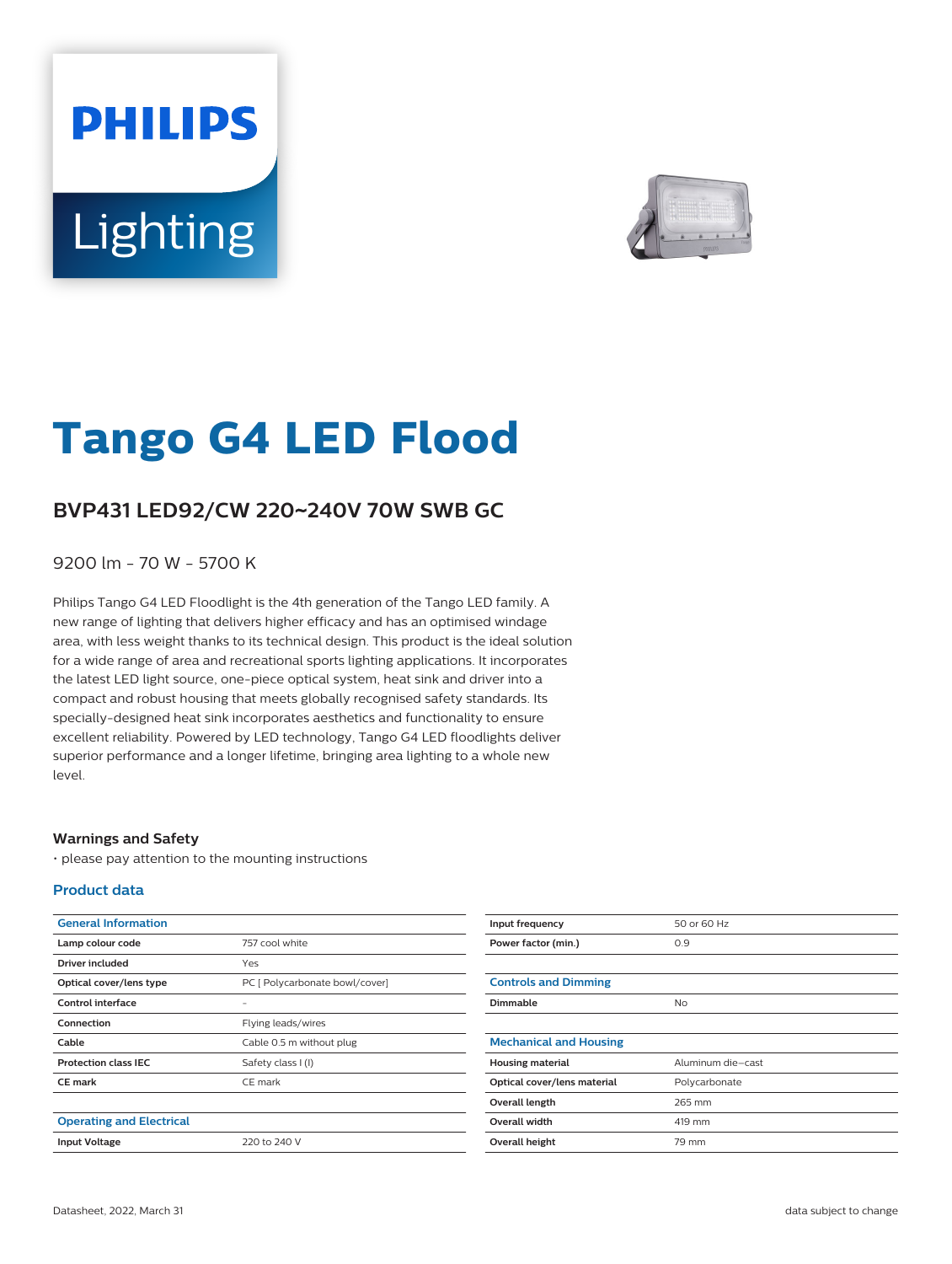# **PHILIPS** Lighting



# **Tango G4 LED Flood**

## **BVP431 LED92/CW 220**~**240V 70W SWB GC**

9200 lm - 70 W - 5700 K

Philips Tango G4 LED Floodlight is the 4th generation of the Tango LED family. A new range of lighting that delivers higher efficacy and has an optimised windage area, with less weight thanks to its technical design. This product is the ideal solution for a wide range of area and recreational sports lighting applications. It incorporates the latest LED light source, one-piece optical system, heat sink and driver into a compact and robust housing that meets globally recognised safety standards. Its specially-designed heat sink incorporates aesthetics and functionality to ensure excellent reliability. Powered by LED technology, Tango G4 LED floodlights deliver superior performance and a longer lifetime, bringing area lighting to a whole new level.

#### **Warnings and Safety**

• please pay attention to the mounting instructions

#### **Product data**

| <b>General Information</b>      |                                |
|---------------------------------|--------------------------------|
| Lamp colour code                | 757 cool white                 |
| Driver included                 | Yes                            |
| Optical cover/lens type         | PC [ Polycarbonate bowl/cover] |
| Control interface               |                                |
| Connection                      | Flying leads/wires             |
| Cable                           | Cable 0.5 m without plug       |
| <b>Protection class IEC</b>     | Safety class I (I)             |
| <b>CE</b> mark                  | CE mark                        |
|                                 |                                |
| <b>Operating and Electrical</b> |                                |
| <b>Input Voltage</b>            | 220 to 240 V                   |

| Input frequency               | 50 or 60 Hz       |
|-------------------------------|-------------------|
| Power factor (min.)           | 0.9               |
|                               |                   |
| <b>Controls and Dimming</b>   |                   |
| Dimmable                      | <b>No</b>         |
|                               |                   |
| <b>Mechanical and Housing</b> |                   |
| <b>Housing material</b>       | Aluminum die-cast |
| Optical cover/lens material   | Polycarbonate     |
| Overall length                | 265 mm            |
| Overall width                 | 419 mm            |
| Overall height                | 79 mm             |
|                               |                   |